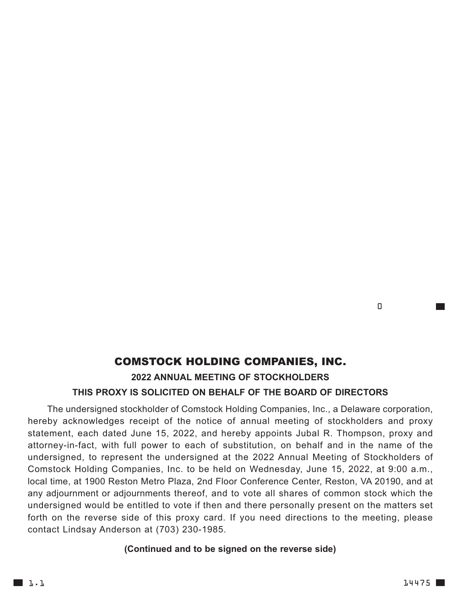## COMSTOCK HOLDING COMPANIES, INC. **2022 ANNUAL MEETING OF STOCKHOLDERS THIS PROXY IS SOLICITED ON BEHALF OF THE BOARD OF DIRECTORS**

The undersigned stockholder of Comstock Holding Companies, Inc., a Delaware corporation, hereby acknowledges receipt of the notice of annual meeting of stockholders and proxy statement, each dated June 15, 2022, and hereby appoints Jubal R. Thompson, proxy and attorney-in-fact, with full power to each of substitution, on behalf and in the name of the undersigned, to represent the undersigned at the 2022 Annual Meeting of Stockholders of Comstock Holding Companies, Inc. to be held on Wednesday, June 15, 2022, at 9:00 a.m., local time, at 1900 Reston Metro Plaza, 2nd Floor Conference Center, Reston, VA 20190, and at any adjournment or adjournments thereof, and to vote all shares of common stock which the undersigned would be entitled to vote if then and there personally present on the matters set forth on the reverse side of this proxy card. If you need directions to the meeting, please contact Lindsay Anderson at (703) 230-1985.

## **(Continued and to be signed on the reverse side)**